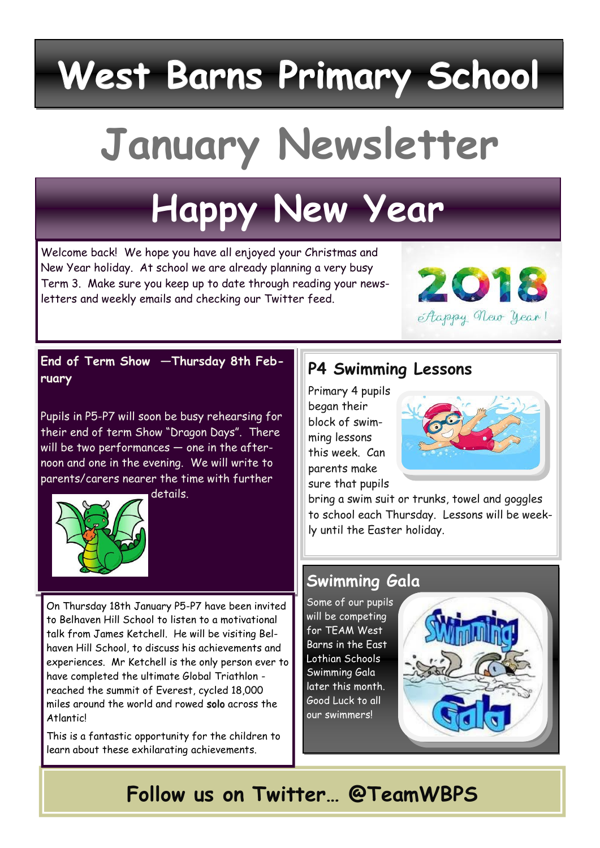# **West Barns Primary School**

# **January Newsletter**

## **Happy New Year**

Welcome back! We hope you have all enjoyed your Christmas and New Year holiday. At school we are already planning a very busy Term 3. Make sure you keep up to date through reading your newsletters and weekly emails and checking our Twitter feed.



**End of Term Show —Thursday 8th February**

Pupils in P5-P7 will soon be busy rehearsing for their end of term Show "Dragon Days". There will be two performances — one in the afternoon and one in the evening. We will write to parents/carers nearer the time with further



details.

On Thursday 18th January P5-P7 have been invited to Belhaven Hill School to listen to a motivational talk from James Ketchell. He will be visiting Belhaven Hill School, to discuss his achievements and experiences. Mr Ketchell is the only person ever to have completed the ultimate Global Triathlon reached the summit of Everest, cycled 18,000 miles around the world and rowed solo across the Atlantic!

This is a fantastic opportunity for the children to learn about these exhilarating achievements.

#### **P4 Swimming Lessons**

Primary 4 pupils began their block of swimming lessons this week. Can parents make sure that pupils



bring a swim suit or trunks, towel and goggles to school each Thursday. Lessons will be weekly until the Easter holiday.

#### **Swimming Gala**

Some of our pupils will be competing for TEAM West Barns in the East Lothian Schools Swimming Gala later this month. Good Luck to all our swimmers!



## **Follow us on Twitter… @TeamWBPS**